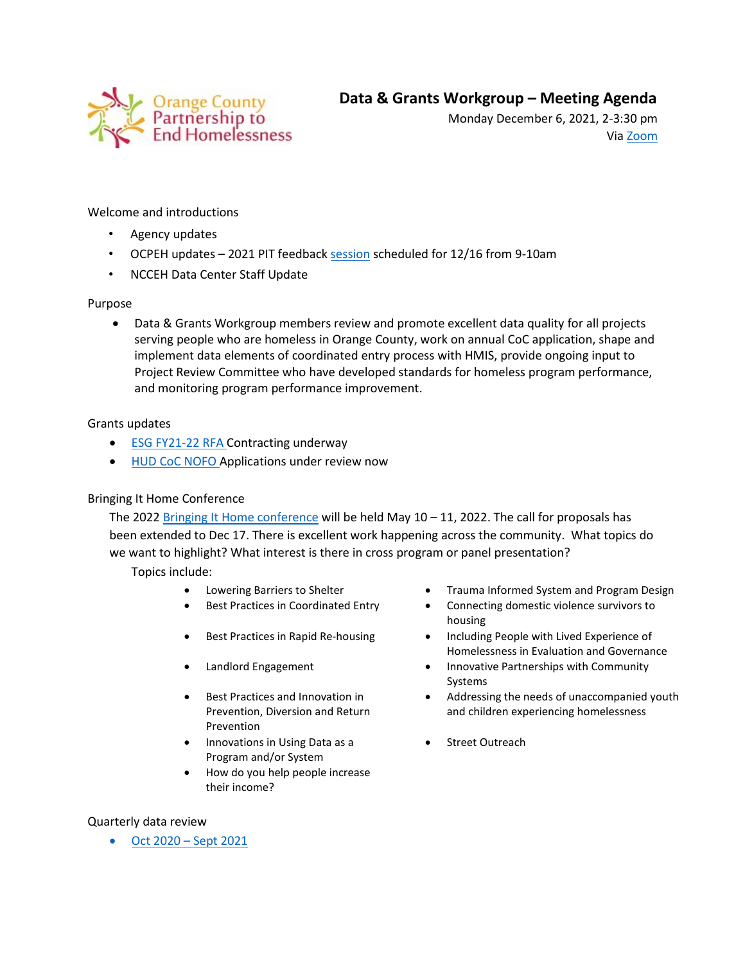

Monday December 6, 2021, 2-3:30 pm Via [Zoom](https://us02web.zoom.us/j/82528705051?pwd=M1VLSTFXTVpwRVFJU244dUh4aUVPQT09)

# Welcome and introductions

- Agency updates
- OCPEH updates 2021 PIT feedbac[k session](https://orangecountync.zoom.us/j/86322092205?pwd=amM5VkJFWG9GZFlzbmxMOU4wN3BxZz09) scheduled for 12/16 from 9-10am
- NCCEH Data Center Staff Update

## Purpose

• Data & Grants Workgroup members review and promote excellent data quality for all projects serving people who are homeless in Orange County, work on annual CoC application, shape and implement data elements of coordinated entry process with HMIS, provide ongoing input to Project Review Committee who have developed standards for homeless program performance, and monitoring program performance improvement.

## Grants updates

- **[ESG FY21-22 RFA](https://www.ncdhhs.gov/divisions/aging-and-adult-services/nc-emergency-solutions-grant/nc-emergency-solutions-grant-grantee-information/aging-and-adult-services-grant-opportunities) Contracting underway**
- [HUD CoC NOFO](https://www.hudexchange.info/programs/e-snaps/fy-2021-coc-program-nofa-coc-program-competition/) Applications under review now

## Bringing It Home Conference

The 2022 [Bringing It Home conference](https://nchousing.org/bringing-it-home-2022/) will be held May  $10 - 11$ , 2022. The call for proposals has been extended to Dec 17. There is excellent work happening across the community. What topics do we want to highlight? What interest is there in cross program or panel presentation?

Topics include:

- 
- 
- 
- 
- Best Practices and Innovation in Prevention, Diversion and Return Prevention
- Innovations in Using Data as a Program and/or System
- How do you help people increase their income?

### Lowering Barriers to Shelter • • Trauma Informed System and Program Design

- Best Practices in Coordinated Entry **•** Connecting domestic violence survivors to housing
- Best Practices in Rapid Re-housing Including People with Lived Experience of Homelessness in Evaluation and Governance
- Landlord Engagement • Innovative Partnerships with Community Systems
	- Addressing the needs of unaccompanied youth and children experiencing homelessness
	- Street Outreach

### Quarterly data review

• Oct 2020 – [Sept 2021](https://docs.google.com/spreadsheets/d/1sAIogmgZs3-7eIeC2EQx8fG9qcKlnRg9nB8C-zLkX5c/edit#gid=1751452695)